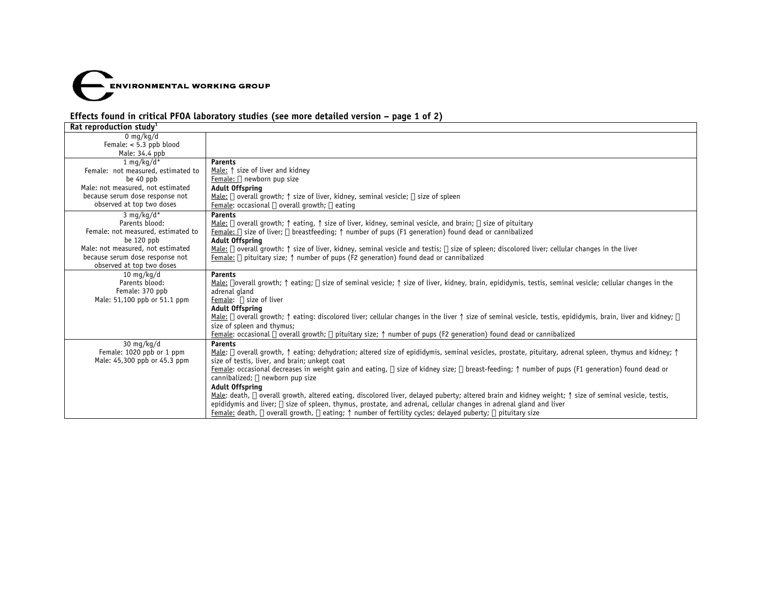

# **Effects found in critical PFOA laboratory studies (see more detailed version – page 1 of 2)**

| Rat reproduction study <sup>1</sup> |                                                                                                                                                                                                     |  |  |  |
|-------------------------------------|-----------------------------------------------------------------------------------------------------------------------------------------------------------------------------------------------------|--|--|--|
| 0 mg/kg/d                           |                                                                                                                                                                                                     |  |  |  |
| Female: $< 5.3$ ppb blood           |                                                                                                                                                                                                     |  |  |  |
| Male: 34.4 ppb                      |                                                                                                                                                                                                     |  |  |  |
| 1 mg/kg/d*                          | <b>Parents</b>                                                                                                                                                                                      |  |  |  |
| Female: not measured, estimated to  | Male: 1 size of liver and kidney                                                                                                                                                                    |  |  |  |
| be 40 ppb                           | Female: ↓ newborn pup size                                                                                                                                                                          |  |  |  |
| Male: not measured, not estimated   | <b>Adult Offspring</b>                                                                                                                                                                              |  |  |  |
| because serum dose response not     | Male: $\downarrow$ overall growth; $\uparrow$ size of liver, kidney, seminal vesicle; $\downarrow$ size of spleen                                                                                   |  |  |  |
| observed at top two doses           | Female: occasional $\downarrow$ overall growth; $\downarrow$ eating                                                                                                                                 |  |  |  |
| 3 mg/kg/d*                          | <b>Parents</b>                                                                                                                                                                                      |  |  |  |
| Parents blood:                      | Male: $\downarrow$ overall growth; $\uparrow$ eating, $\uparrow$ size of liver, kidney, seminal vesicle, and brain; $\downarrow$ size of pituitary                                                  |  |  |  |
| Female: not measured, estimated to  | Female: $\downarrow$ size of liver; $\downarrow$ breastfeeding; $\uparrow$ number of pups (F1 generation) found dead or cannibalized                                                                |  |  |  |
| be 120 ppb                          | <b>Adult Offspring</b>                                                                                                                                                                              |  |  |  |
| Male: not measured, not estimated   | Male: J overall growth: 1 size of liver, kidney, seminal vesicle and testis; J size of spleen; discolored liver; cellular changes in the liver                                                      |  |  |  |
| because serum dose response not     | <u>Female:</u> $\downarrow$ pituitary size; $\uparrow$ number of pups (F2 generation) found dead or cannibalized                                                                                    |  |  |  |
| observed at top two doses           |                                                                                                                                                                                                     |  |  |  |
| 10 $mq/kg/d$                        | <b>Parents</b>                                                                                                                                                                                      |  |  |  |
| Parents blood:                      | Male: ↓overall growth; ↑ eating; ↓ size of seminal vesicle; ↑ size of liver, kidney, brain, epididymis, testis, seminal vesicle; cellular changes in the                                            |  |  |  |
| Female: 370 ppb                     | adrenal gland                                                                                                                                                                                       |  |  |  |
| Male: 51,100 ppb or 51.1 ppm        | Female: ↓ size of liver                                                                                                                                                                             |  |  |  |
|                                     | <b>Adult Offspring</b>                                                                                                                                                                              |  |  |  |
|                                     | Male: $\downarrow$ overall growth; $\uparrow$ eating: discolored liver; cellular changes in the liver $\uparrow$ size of seminal vesicle, testis, epididymis, brain, liver and kidney; $\downarrow$ |  |  |  |
|                                     | size of spleen and thymus;                                                                                                                                                                          |  |  |  |
|                                     | Female: occasional ↓ overall growth; ↓ pituitary size; ↑ number of pups (F2 generation) found dead or cannibalized                                                                                  |  |  |  |
| $30 \text{ mg/kg/d}$                | <b>Parents</b>                                                                                                                                                                                      |  |  |  |
| Female: 1020 ppb or 1 ppm           | Male: ↓ overall growth, ↑ eating; dehydration; altered size of epididymis, seminal vesicles, prostate, pituitary, adrenal spleen, thymus and kidney; ↑                                              |  |  |  |
| Male: 45,300 ppb or 45.3 ppm        | size of testis, liver, and brain; unkept coat                                                                                                                                                       |  |  |  |
|                                     | Female: occasional decreases in weight gain and eating, $\downarrow$ size of kidney size; $\downarrow$ breast-feeding; $\uparrow$ number of pups (F1 generation) found dead or                      |  |  |  |
|                                     | cannibalized; ↓ newborn pup size                                                                                                                                                                    |  |  |  |
|                                     | <b>Adult Offspring</b>                                                                                                                                                                              |  |  |  |
|                                     | Male: death, $\downarrow$ overall growth, altered eating, discolored liver, delayed puberty; altered brain and kidney weight; $\uparrow$ size of seminal vesicle, testis,                           |  |  |  |
|                                     | epididymis and liver; $\downarrow$ size of spleen, thymus, prostate, and adrenal, cellular changes in adrenal gland and liver                                                                       |  |  |  |
|                                     | Female: death, $\downarrow$ overall growth, $\downarrow$ eating; $\uparrow$ number of fertility cycles; delayed puberty; $\downarrow$ pituitary size                                                |  |  |  |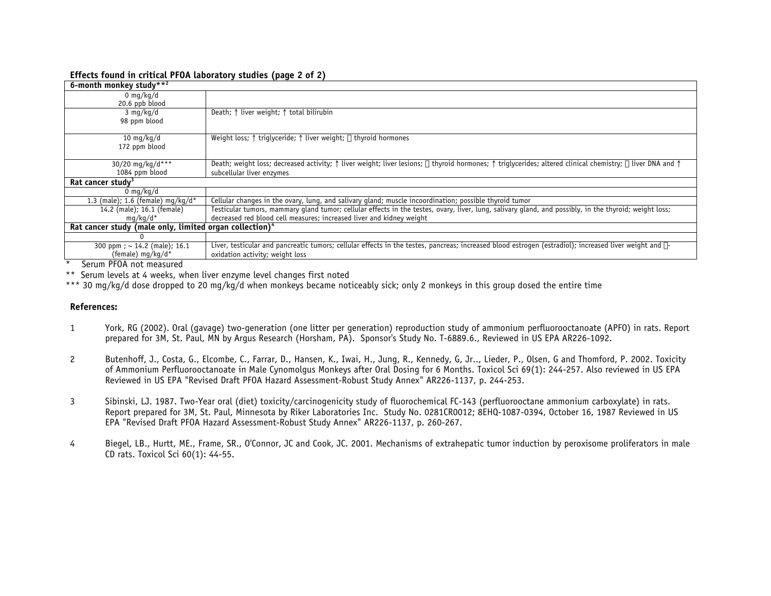#### **Effects found in critical PFOA laboratory studies (page 2 of 2)**

| 6-month monkey study**2                                             |                                                                                                                                                                                                            |  |  |
|---------------------------------------------------------------------|------------------------------------------------------------------------------------------------------------------------------------------------------------------------------------------------------------|--|--|
| 0 mg/kg/d                                                           |                                                                                                                                                                                                            |  |  |
| 20.6 ppb blood                                                      |                                                                                                                                                                                                            |  |  |
| $3 \text{ mg/kg/d}$                                                 | Death; $\uparrow$ liver weight; $\uparrow$ total bilirubin                                                                                                                                                 |  |  |
| 98 ppm blood                                                        |                                                                                                                                                                                                            |  |  |
|                                                                     |                                                                                                                                                                                                            |  |  |
| 10 mg/kg/d                                                          | Weight loss; $\uparrow$ triglyceride; $\uparrow$ liver weight; $\downarrow$ thyroid hormones                                                                                                               |  |  |
| 172 ppm blood                                                       |                                                                                                                                                                                                            |  |  |
|                                                                     |                                                                                                                                                                                                            |  |  |
| 30/20 mg/kg/d***                                                    | Death; weight loss; decreased activity; $\uparrow$ liver weight; liver lesions; $\downarrow$ thyroid hormones; $\uparrow$ triglycerides; altered clinical chemistry; $\downarrow$ liver DNA and $\uparrow$ |  |  |
| 1084 ppm blood                                                      | subcellular liver enzymes                                                                                                                                                                                  |  |  |
| Rat cancer study <sup>3</sup>                                       |                                                                                                                                                                                                            |  |  |
| 0 mg/kg/d                                                           |                                                                                                                                                                                                            |  |  |
| 1.3 (male); 1.6 (female) $mq/kg/d*$                                 | Cellular changes in the ovary, lung, and salivary gland; muscle incoordination; possible thyroid tumor                                                                                                     |  |  |
| 14.2 (male); 16.1 (female)                                          | Testicular tumors, mammary gland tumor; cellular effects in the testes, ovary, liver, lung, salivary gland, and possibly, in the thyroid; weight loss;                                                     |  |  |
| mg/kg/d*                                                            | decreased red blood cell measures; increased liver and kidney weight                                                                                                                                       |  |  |
| Rat cancer study (male only, limited organ collection) <sup>4</sup> |                                                                                                                                                                                                            |  |  |
|                                                                     |                                                                                                                                                                                                            |  |  |
| 300 ppm; $\sim$ 14.2 (male); 16.1                                   | Liver, testicular and pancreatic tumors; cellular effects in the testes, pancreas; increased blood estrogen (estradiol); increased liver weight and $\beta$ -                                              |  |  |
| (female) mg/kg/d*<br>$\sim$<br>--- -                                | oxidation activity; weight loss                                                                                                                                                                            |  |  |

Serum PFOA not measured

\*\* Serum levels at 4 weeks, when liver enzyme level changes first noted

\*\*\* 30 mg/kg/d dose dropped to 20 mg/kg/d when monkeys became noticeably sick; only 2 monkeys in this group dosed the entire time

## **References:**

- 1 York, RG (2002). Oral (gavage) two-generation (one litter per generation) reproduction study of ammonium perfluorooctanoate (APFO) in rats. Report prepared for 3M, St. Paul, MN by Argus Research (Horsham, PA). Sponsor's Study No. T-6889.6., Reviewed in US EPA AR226-1092.
- 2 Butenhoff, J., Costa, G., Elcombe, C., Farrar, D., Hansen, K., Iwai, H., Jung, R., Kennedy, G, Jr.., Lieder, P., Olsen, G and Thomford, P. 2002. Toxicity of Ammonium Perfluorooctanoate in Male Cynomolgus Monkeys after Oral Dosing for 6 Months. Toxicol Sci 69(1): 244-257. Also reviewed in US EPA Reviewed in US EPA "Revised Draft PFOA Hazard Assessment-Robust Study Annex" AR226-1137, p. 244-253.
- 3 Sibinski, LJ. 1987. Two-Year oral (diet) toxicity/carcinogenicity study of fluorochemical FC-143 (perfluorooctane ammonium carboxylate) in rats. Report prepared for 3M, St. Paul, Minnesota by Riker Laboratories Inc. Study No. 0281CR0012; 8EHQ-1087-0394, October 16, 1987 Reviewed in US EPA "Revised Draft PFOA Hazard Assessment-Robust Study Annex" AR226-1137, p. 260-267.
- 4 Biegel, LB., Hurtt, ME., Frame, SR., O'Connor, JC and Cook, JC. 2001. Mechanisms of extrahepatic tumor induction by peroxisome proliferators in male CD rats. Toxicol Sci 60(1): 44-55.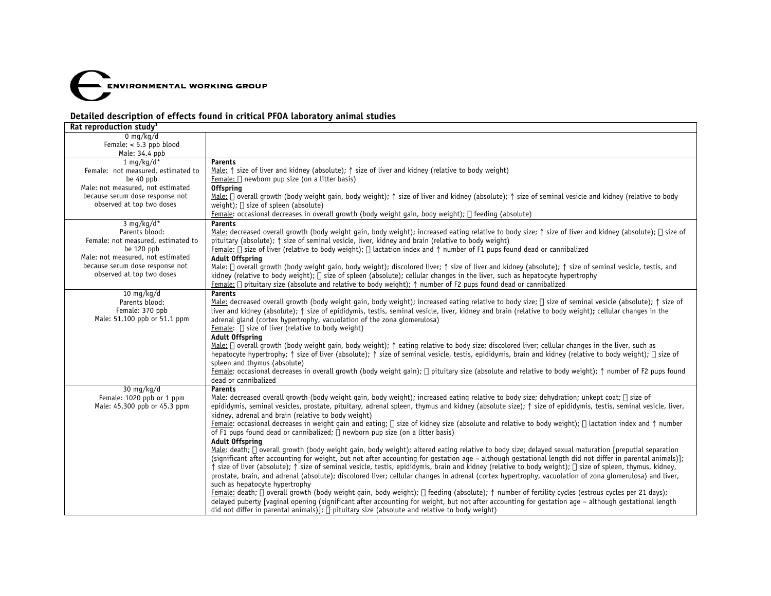

## **Detailed description of effects found in critical PFOA laboratory animal studies**

| Rat reproduction study <sup>1</sup> |                                                                                                                                                                                                           |  |
|-------------------------------------|-----------------------------------------------------------------------------------------------------------------------------------------------------------------------------------------------------------|--|
| $0 \text{ mg/kg/d}$                 |                                                                                                                                                                                                           |  |
| Female: $< 5.3$ ppb blood           |                                                                                                                                                                                                           |  |
| Male: 34.4 ppb                      |                                                                                                                                                                                                           |  |
| $1$ ma/ka/d*                        | <b>Parents</b>                                                                                                                                                                                            |  |
| Female: not measured, estimated to  | Male: $\uparrow$ size of liver and kidney (absolute); $\uparrow$ size of liver and kidney (relative to body weight)                                                                                       |  |
| be 40 ppb                           | Female: $\downarrow$ newborn pup size (on a litter basis)                                                                                                                                                 |  |
| Male: not measured, not estimated   | <b>Offspring</b>                                                                                                                                                                                          |  |
| because serum dose response not     | Male: ↓ overall growth (body weight gain, body weight); ↑ size of liver and kidney (absolute); ↑ size of seminal vesicle and kidney (relative to body                                                     |  |
| observed at top two doses           | weight); $\downarrow$ size of spleen (absolute)                                                                                                                                                           |  |
|                                     | Female: occasional decreases in overall growth (body weight gain, body weight); ↓ feeding (absolute)                                                                                                      |  |
| 3 mg/kg/d*                          | <b>Parents</b>                                                                                                                                                                                            |  |
| Parents blood:                      | Male: decreased overall growth (body weight gain, body weight); increased eating relative to body size; $\uparrow$ size of liver and kidney (absolute); $\downarrow$ size of                              |  |
| Female: not measured, estimated to  | pituitary (absolute); $\uparrow$ size of seminal vesicle, liver, kidney and brain (relative to body weight)                                                                                               |  |
| be 120 ppb                          | Female: $\downarrow$ size of liver (relative to body weight); $\downarrow$ lactation index and $\uparrow$ number of F1 pups found dead or cannibalized                                                    |  |
| Male: not measured, not estimated   | <b>Adult Offspring</b>                                                                                                                                                                                    |  |
| because serum dose response not     | Male: J overall growth (body weight gain, body weight); discolored liver; $\uparrow$ size of liver and kidney (absolute); $\uparrow$ size of seminal vesicle, testis, and                                 |  |
| observed at top two doses           | kidney (relative to body weight); $\downarrow$ size of spleen (absolute); cellular changes in the liver, such as hepatocyte hypertrophy                                                                   |  |
|                                     | Female: $\downarrow$ pituitary size (absolute and relative to body weight); $\uparrow$ number of F2 pups found dead or cannibalized                                                                       |  |
| $10 \text{ mg/kg/d}$                | <b>Parents</b>                                                                                                                                                                                            |  |
| Parents blood:                      | Male: decreased overall growth (body weight gain, body weight); increased eating relative to body size; J size of seminal vesicle (absolute); $\uparrow$ size of                                          |  |
| Female: 370 ppb                     | liver and kidney (absolute); $\uparrow$ size of epididymis, testis, seminal vesicle, liver, kidney and brain (relative to body weight); cellular changes in the                                           |  |
| Male: 51,100 ppb or 51.1 ppm        | adrenal gland (cortex hypertrophy, vacuolation of the zona glomerulosa)                                                                                                                                   |  |
|                                     | Female: J size of liver (relative to body weight)                                                                                                                                                         |  |
|                                     | <b>Adult Offspring</b>                                                                                                                                                                                    |  |
|                                     | Male: J overall growth (body weight gain, body weight); $\uparrow$ eating relative to body size; discolored liver; cellular changes in the liver, such as                                                 |  |
|                                     | hepatocyte hypertrophy; ↑ size of liver (absolute); ↑ size of seminal vesicle, testis, epididymis, brain and kidney (relative to body weight); ↓ size of                                                  |  |
|                                     | spleen and thymus (absolute)<br>Female: occasional decreases in overall growth (body weight gain); $\downarrow$ pituitary size (absolute and relative to body weight); $\uparrow$ number of F2 pups found |  |
|                                     | dead or cannibalized                                                                                                                                                                                      |  |
| $30 \text{ mg/kg/d}$                | <b>Parents</b>                                                                                                                                                                                            |  |
| Female: 1020 ppb or 1 ppm           | Male: decreased overall growth (body weight gain, body weight); increased eating relative to body size; dehydration; unkept coat; $\downarrow$ size of                                                    |  |
| Male: 45,300 ppb or 45.3 ppm        | epididymis, seminal vesicles, prostate, pituitary, adrenal spleen, thymus and kidney (absolute size); $\uparrow$ size of epididymis, testis, seminal vesicle, liver,                                      |  |
|                                     | kidney, adrenal and brain (relative to body weight)                                                                                                                                                       |  |
|                                     | Female: occasional decreases in weight gain and eating; ↓ size of kidney size (absolute and relative to body weight); ↓ lactation index and ↑ number                                                      |  |
|                                     | of F1 pups found dead or cannibalized; $\downarrow$ newborn pup size (on a litter basis)                                                                                                                  |  |
|                                     | <b>Adult Offspring</b>                                                                                                                                                                                    |  |
|                                     | Male: death; J overall growth (body weight gain, body weight); altered eating relative to body size; delayed sexual maturation [preputial separation                                                      |  |
|                                     | (significant after accounting for weight, but not after accounting for gestation age - although gestational length did not differ in parental animals)];                                                  |  |
|                                     | izize of liver (absolute); $\uparrow$ size of seminal vesicle, testis, epididymis, brain and kidney (relative to body weight); $\downarrow$ size of spleen, thymus, kidney,                               |  |
|                                     | prostate, brain, and adrenal (absolute); discolored liver; cellular changes in adrenal (cortex hypertrophy, vacuolation of zona qlomerulosa) and liver,                                                   |  |
|                                     | such as hepatocyte hypertrophy                                                                                                                                                                            |  |
|                                     | Female: death; J overall growth (body weight gain, body weight); J feeding (absolute); $\uparrow$ number of fertility cycles (estrous cycles per 21 days);                                                |  |
|                                     | delayed puberty [vaginal opening (significant after accounting for weight, but not after accounting for gestation age - although gestational length                                                       |  |
|                                     | did not differ in parental animals)]; $\sqrt{ }$ pituitary size (absolute and relative to body weight)                                                                                                    |  |